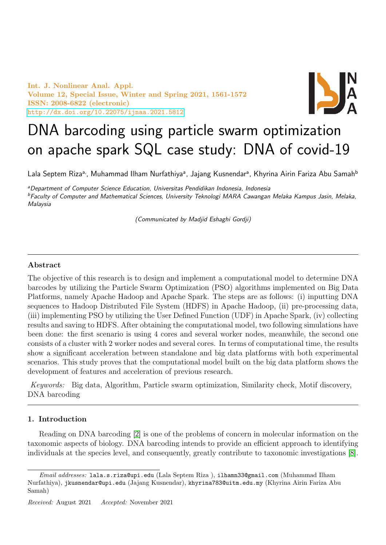Int. J. Nonlinear Anal. Appl. Volume 12, Special Issue, Winter and Spring 2021, 1561-1572 ISSN: 2008-6822 (electronic) <http://dx.doi.org/10.22075/ijnaa.2021.5812>



# DNA barcoding using particle swarm optimization on apache spark SQL case study: DNA of covid-19

Lala Septem Riza<sup>a,</sup>, Muhammad Ilham Nurfathiya<sup>a</sup>, Jajang Kusnendar<sup>a</sup>, Khyrina Airin Fariza Abu Samah<sup>b</sup>

<sup>a</sup>Department of Computer Science Education, Universitas Pendidikan Indonesia, Indonesia <sup>b</sup>Faculty of Computer and Mathematical Sciences, University Teknologi MARA Cawangan Melaka Kampus Jasin, Melaka, Malaysia

(Communicated by Madjid Eshaghi Gordji)

## Abstract

The objective of this research is to design and implement a computational model to determine DNA barcodes by utilizing the Particle Swarm Optimization (PSO) algorithms implemented on Big Data Platforms, namely Apache Hadoop and Apache Spark. The steps are as follows: (i) inputting DNA sequences to Hadoop Distributed File System (HDFS) in Apache Hadoop, (ii) pre-processing data, (iii) implementing PSO by utilizing the User Defined Function (UDF) in Apache Spark, (iv) collecting results and saving to HDFS. After obtaining the computational model, two following simulations have been done: the first scenario is using 4 cores and several worker nodes, meanwhile, the second one consists of a cluster with 2 worker nodes and several cores. In terms of computational time, the results show a significant acceleration between standalone and big data platforms with both experimental scenarios. This study proves that the computational model built on the big data platform shows the development of features and acceleration of previous research.

Keywords: Big data, Algorithm, Particle swarm optimization, Similarity check, Motif discovery, DNA barcoding

## 1. Introduction

Reading on DNA barcoding [\[2\]](#page-10-0) is one of the problems of concern in molecular information on the taxonomic aspects of biology. DNA barcoding intends to provide an efficient approach to identifying individuals at the species level, and consequently, greatly contribute to taxonomic investigations [\[8\]](#page-10-1).

Email addresses: lala.s.riza@upi.edu (Lala Septem Riza ), ilhamn33@gmail.com (Muhammad Ilham Nurfathiya), jkusnendar@upi.edu (Jajang Kusnendar), khyrina783@uitm.edu.my (Khyrina Airin Fariza Abu Samah)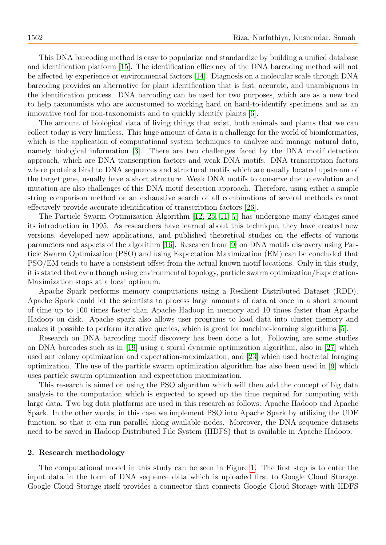This DNA barcoding method is easy to popularize and standardize by building a unified database and identification platform [\[15\]](#page-11-0). The identification efficiency of the DNA barcoding method will not be affected by experience or environmental factors [\[14\]](#page-11-1). Diagnosis on a molecular scale through DNA barcoding provides an alternative for plant identification that is fast, accurate, and unambiguous in the identification process. DNA barcoding can be used for two purposes, which are as a new tool to help taxonomists who are accustomed to working hard on hard-to-identify specimens and as an innovative tool for non-taxonomists and to quickly identify plants [\[6\]](#page-10-2).

The amount of biological data of living things that exist, both animals and plants that we can collect today is very limitless. This huge amount of data is a challenge for the world of bioinformatics, which is the application of computational system techniques to analyze and manage natural data, namely biological information [\[3\]](#page-10-3). There are two challenges faced by the DNA motif detection approach, which are DNA transcription factors and weak DNA motifs. DNA transcription factors where proteins bind to DNA sequences and structural motifs which are usually located upstream of the target gene, usually have a short structure. Weak DNA motifs to conserve due to evolution and mutation are also challenges of this DNA motif detection approach. Therefore, using either a simple string comparison method or an exhaustive search of all combinations of several methods cannot effectively provide accurate identification of transcription factors [\[26\]](#page-11-2).

The Particle Swarm Optimization Algorithm [\[12,](#page-11-3) [25,](#page-11-4) [11,](#page-11-5) [7\]](#page-10-4) has undergone many changes since its introduction in 1995. As researchers have learned about this technique, they have created new versions, developed new applications, and published theoretical studies on the effects of various parameters and aspects of the algorithm [\[16\]](#page-11-6). Research from [\[9\]](#page-11-7) on DNA motifs discovery using Particle Swarm Optimization (PSO) and using Expectation Maximization (EM) can be concluded that PSO/EM tends to have a consistent offset from the actual known motif locations. Only in this study, it is stated that even though using environmental topology, particle swarm optimization/Expectation-Maximization stops at a local optimum.

Apache Spark performs memory computations using a Resilient Distributed Dataset (RDD). Apache Spark could let the scientists to process large amounts of data at once in a short amount of time up to 100 times faster than Apache Hadoop in memory and 10 times faster than Apache Hadoop on disk. Apache spark also allows user programs to load data into cluster memory and makes it possible to perform iterative queries, which is great for machine-learning algorithms [\[5\]](#page-10-5).

Research on DNA barcoding motif discovery has been done a lot. Following are some studies on DNA barcodes such as in [\[19\]](#page-11-8) using a spiral dynamic optimization algorithm, also in [\[27\]](#page-11-9) which used ant colony optimization and expectation-maximization, and [\[23\]](#page-11-10) which used bacterial foraging optimization. The use of the particle swarm optimization algorithm has also been used in [\[9\]](#page-11-7) which uses particle swarm optimization and expectation maximization.

This research is aimed on using the PSO algorithm which will then add the concept of big data analysis to the computation which is expected to speed up the time required for computing with large data. Two big data platforms are used in this research as follows: Apache Hadoop and Apache Spark. In the other words, in this case we implement PSO into Apache Spark by utilizing the UDF function, so that it can run parallel along available nodes. Moreover, the DNA sequence datasets need to be saved in Hadoop Distributed File System (HDFS) that is available in Apache Hadoop.

#### 2. Research methodology

The computational model in this study can be seen in Figure [1.](#page-2-0) The first step is to enter the input data in the form of DNA sequence data which is uploaded first to Google Cloud Storage. Google Cloud Storage itself provides a connector that connects Google Cloud Storage with HDFS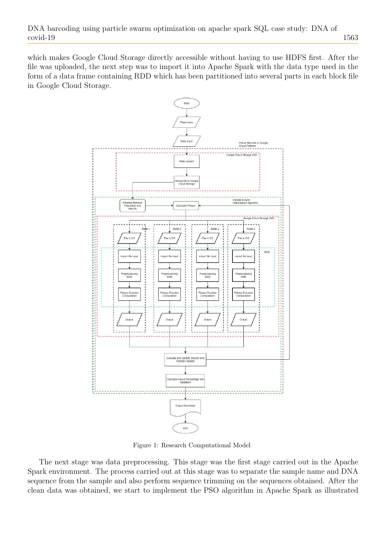which makes Google Cloud Storage directly accessible without having to use HDFS first. After the file was uploaded, the next step was to import it into Apache Spark with the data type used in the form of a data frame containing RDD which has been partitioned into several parts in each block file in Google Cloud Storage.



<span id="page-2-0"></span>Figure 1: Research Computational Model

The next stage was data preprocessing. This stage was the first stage carried out in the Apache Spark environment. The process carried out at this stage was to separate the sample name and DNA sequence from the sample and also perform sequence trimming on the sequences obtained. After the clean data was obtained, we start to implement the PSO algorithm in Apache Spark as illustrated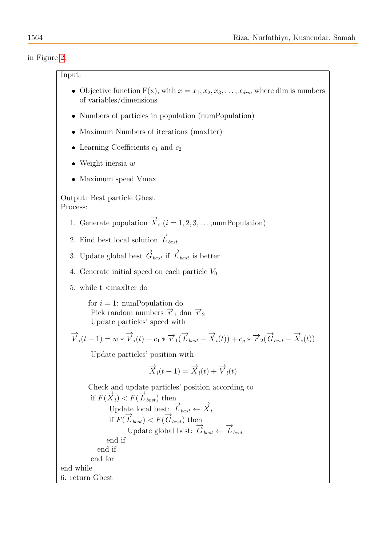in Figure [2.](#page-4-0)

# Input:

- Objective function  $F(x)$ , with  $x = x_1, x_2, x_3, \ldots, x_{dim}$  where dim is numbers of variables/dimensions
- Numbers of particles in population (numPopulation)
- Maximum Numbers of iterations (maxIter)
- Learning Coefficients  $c_1$  and  $c_2$
- Weight inersia  $w$
- Maximum speed Vmax

Output: Best particle Gbest Process:

- 1. Generate population  $\overrightarrow{X}_i$  ( $i = 1, 2, 3, \ldots$ , num Population)
- 2. Find best local solution  $\overrightarrow{L}_{best}$
- 3. Update global best  $\overrightarrow{G}_{best}$  if  $\overrightarrow{L}_{best}$  is better
- 4. Generate initial speed on each particle  $V_0$
- 5. while t <maxIter do

for  $i = 1$ : numPopulation do Pick random numbers  $\overrightarrow{r}_1$  dan  $\overrightarrow{r}_2$ Update particles' speed with

$$
\overrightarrow{V}_i(t+1) = w * \overrightarrow{V}_i(t) + c_1 * \overrightarrow{r}_1(\overrightarrow{L}_{best} - \overrightarrow{X}_i(t)) + c_g * \overrightarrow{r}_2(\overrightarrow{G}_{best} - \overrightarrow{X}_i(t))
$$

Update particles' position with

$$
\overrightarrow{X}_i(t+1) = \overrightarrow{X}_i(t) + \overrightarrow{V}_i(t)
$$

Check and update particles' position according to if  $F(\overrightarrow{X}_i) < F(\overrightarrow{L}_{best})$  then Update local best:  $\overrightarrow{L}_{best} \leftarrow \overrightarrow{X}_i$ if  $F(\overrightarrow{L}_{best}) < F(\overrightarrow{G}_{best})$  then Update global best:  $\overrightarrow{G}_{best} \leftarrow \overrightarrow{L}_{best}$ end if end if end for end while 6. return Gbest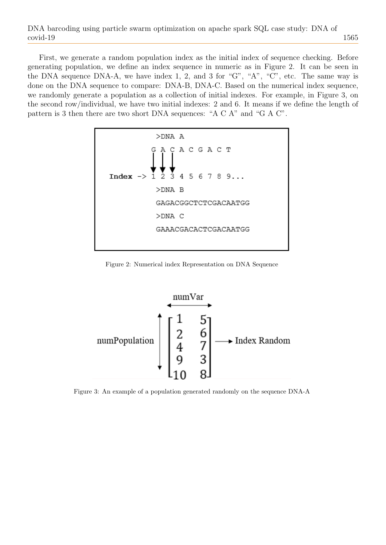First, we generate a random population index as the initial index of sequence checking. Before generating population, we define an index sequence in numeric as in Figure 2. It can be seen in the DNA sequence DNA-A, we have index 1, 2, and 3 for "G", "A", "C", etc. The same way is done on the DNA sequence to compare: DNA-B, DNA-C. Based on the numerical index sequence, we randomly generate a population as a collection of initial indexes. For example, in Figure 3, on the second row/individual, we have two initial indexes: 2 and 6. It means if we define the length of pattern is 3 then there are two short DNA sequences: "A C A" and "G A C".



<span id="page-4-0"></span>Figure 2: Numerical index Representation on DNA Sequence



Figure 3: An example of a population generated randomly on the sequence DNA-A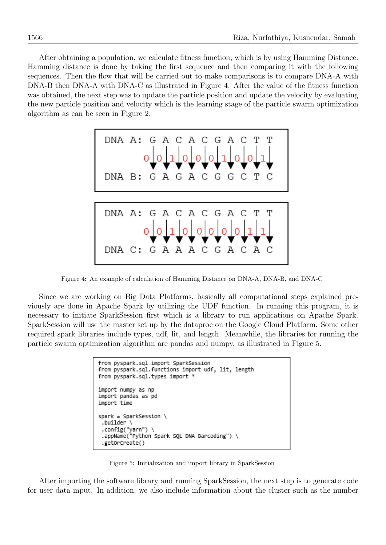After obtaining a population, we calculate fitness function, which is by using Hamming Distance. Hamming distance is done by taking the first sequence and then comparing it with the following sequences. Then the flow that will be carried out to make comparisons is to compare DNA-A with DNA-B then DNA-A with DNA-C as illustrated in Figure 4. After the value of the fitness function was obtained, the next step was to update the particle position and update the velocity by evaluating the new particle position and velocity which is the learning stage of the particle swarm optimization algorithm as can be seen in Figure 2.



Figure 4: An example of calculation of Hamming Distance on DNA-A, DNA-B, and DNA-C

Since we are working on Big Data Platforms, basically all computational steps explained previously are done in Apache Spark by utilizing the UDF function. In running this program, it is necessary to initiate SparkSession first which is a library to run applications on Apache Spark. SparkSession will use the master set up by the dataproc on the Google Cloud Platform. Some other required spark libraries include types, udf, lit, and length. Meanwhile, the libraries for running the particle swarm optimization algorithm are pandas and numpy, as illustrated in Figure 5.

```
from pyspark.sql import SparkSession
from pyspark.sql.functions import udf, lit, length
from pyspark.sql.types import *
import numpy as np
import pandas as pd
import time
spark = SparkSession \setminus.builder \setminus.config("yarn") \
 .appName("Python Spark SQL DNA Barcoding") \
 .getOrCreate()
```
Figure 5: Initialization and import library in SparkSession

After importing the software library and running SparkSession, the next step is to generate code for user data input. In addition, we also include information about the cluster such as the number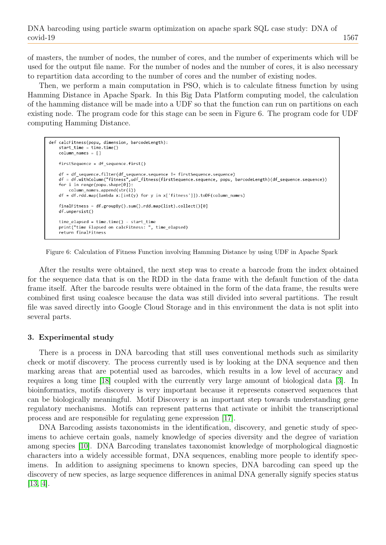of masters, the number of nodes, the number of cores, and the number of experiments which will be used for the output file name. For the number of nodes and the number of cores, it is also necessary to repartition data according to the number of cores and the number of existing nodes.

Then, we perform a main computation in PSO, which is to calculate fitness function by using Hamming Distance in Apache Spark. In this Big Data Platform computing model, the calculation of the hamming distance will be made into a UDF so that the function can run on partitions on each existing node. The program code for this stage can be seen in Figure 6. The program code for UDF computing Hamming Distance.

```
def calcFitness(popu, dimension, barcodeLength):
    start time = time.time()column_name = []firstSequence = df_sequence.first()
    df = df_sequence.filter(df_sequence.sequence != firstSequence.sequence)
    df = df.withColumn("fitness",udf_fitness(firstSequence.sequence, popu, barcodeLength)(df_sequence.sequence))
   for i in range(popu.shape[0]):
        column_names.append(str(i))
   df = df.rdd.map(lambda x:[int(y) for y in x['fitness']]).toDF(column_names)
   finalFitness = df.groupBy().sum().rdd.map(list).collect()[0]
   df.unpersist()
   time_elapsed = time.time() - start_time
   print("time Elapsed on calcFitness: ", time_elapsed)
    .<br>return finalFitness
```
Figure 6: Calculation of Fitness Function involving Hamming Distance by using UDF in Apache Spark

After the results were obtained, the next step was to create a barcode from the index obtained for the sequence data that is on the RDD in the data frame with the default function of the data frame itself. After the barcode results were obtained in the form of the data frame, the results were combined first using coalesce because the data was still divided into several partitions. The result file was saved directly into Google Cloud Storage and in this environment the data is not split into several parts.

#### 3. Experimental study

There is a process in DNA barcoding that still uses conventional methods such as similarity check or motif discovery. The process currently used is by looking at the DNA sequence and then marking areas that are potential used as barcodes, which results in a low level of accuracy and requires a long time [\[18\]](#page-11-11) coupled with the currently very large amount of biological data [\[3\]](#page-10-3). In bioinformatics, motifs discovery is very important because it represents conserved sequences that can be biologically meaningful. Motif Discovery is an important step towards understanding gene regulatory mechanisms. Motifs can represent patterns that activate or inhibit the transcriptional process and are responsible for regulating gene expression [\[17\]](#page-11-12).

DNA Barcoding assists taxonomists in the identification, discovery, and genetic study of specimens to achieve certain goals, namely knowledge of species diversity and the degree of variation among species [\[10\]](#page-11-13). DNA Barcoding translates taxonomist knowledge of morphological diagnostic characters into a widely accessible format, DNA sequences, enabling more people to identify specimens. In addition to assigning specimens to known species, DNA barcoding can speed up the discovery of new species, as large sequence differences in animal DNA generally signify species status [\[13,](#page-11-14) [4\]](#page-10-6).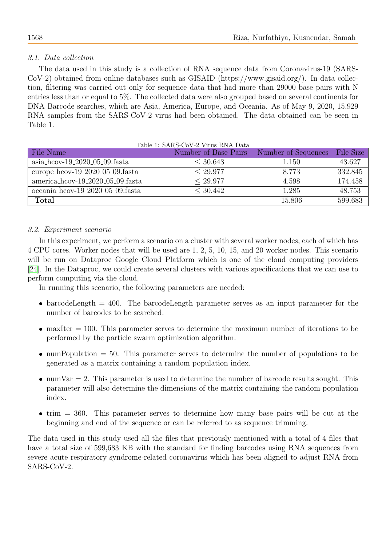# 3.1. Data collection

The data used in this study is a collection of RNA sequence data from Coronavirus-19 (SARS-CoV-2) obtained from online databases such as GISAID (https://www.gisaid.org/). In data collection, filtering was carried out only for sequence data that had more than 29000 base pairs with N entries less than or equal to 5%. The collected data were also grouped based on several continents for DNA Barcode searches, which are Asia, America, Europe, and Oceania. As of May 9, 2020, 15.929 RNA samples from the SARS-CoV-2 virus had been obtained. The data obtained can be seen in Table 1.

| File Name                             | Table 1: SARS-CoV-2 Virus RNA Data<br>Number of Base Pairs | Number of Sequences | File Size |
|---------------------------------------|------------------------------------------------------------|---------------------|-----------|
| $asia\_{hcov-19\_2020\_05\_09.fasta}$ | < 30.643                                                   | 1.150               | 43.627    |
| europe_hcov- $19_2020_05_09$ .fasta   | < 29.977                                                   | 8.773               | 332.845   |
| america_hcov-19_2020_05_09.fasta      | < 29.977                                                   | 4.598               | 174.458   |
| oceania_hcov-19_2020_05_09.fasta      | < 30.442                                                   | 1.285               | 48.753    |
| <b>Total</b>                          |                                                            | 15.806              | 599.683   |

## 3.2. Experiment scenario

In this experiment, we perform a scenario on a cluster with several worker nodes, each of which has 4 CPU cores. Worker nodes that will be used are 1, 2, 5, 10, 15, and 20 worker nodes. This scenario will be run on Dataproc Google Cloud Platform which is one of the cloud computing providers [\[24\]](#page-11-15). In the Dataproc, we could create several clusters with various specifications that we can use to perform computing via the cloud.

In running this scenario, the following parameters are needed:

- $\bullet$  barcodeLength = 400. The barcodeLength parameter serves as an input parameter for the number of barcodes to be searched.
- $\bullet$  maxIter = 100. This parameter serves to determine the maximum number of iterations to be performed by the particle swarm optimization algorithm.
- $\bullet$  numPopulation = 50. This parameter serves to determine the number of populations to be generated as a matrix containing a random population index.
- $\bullet$  numVar = 2. This parameter is used to determine the number of barcode results sought. This parameter will also determine the dimensions of the matrix containing the random population index.
- $\bullet$  trim  $= 360$ . This parameter serves to determine how many base pairs will be cut at the beginning and end of the sequence or can be referred to as sequence trimming.

The data used in this study used all the files that previously mentioned with a total of 4 files that have a total size of 599,683 KB with the standard for finding barcodes using RNA sequences from severe acute respiratory syndrome-related coronavirus which has been aligned to adjust RNA from SARS-CoV-2.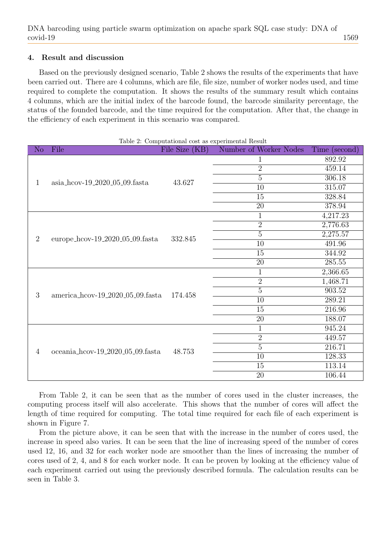## 4. Result and discussion

Based on the previously designed scenario, Table 2 shows the results of the experiments that have been carried out. There are 4 columns, which are file, file size, number of worker nodes used, and time required to complete the computation. It shows the results of the summary result which contains 4 columns, which are the initial index of the barcode found, the barcode similarity percentage, the status of the founded barcode, and the time required for the computation. After that, the change in the efficiency of each experiment in this scenario was compared.

| Table 2: Computational cost as experimental Result |                                               |                |                        |               |  |  |
|----------------------------------------------------|-----------------------------------------------|----------------|------------------------|---------------|--|--|
| N <sub>o</sub>                                     | File                                          | File Size (KB) | Number of Worker Nodes | Time (second) |  |  |
| 1                                                  | $asia\_{\text{cov-19\_2020\_05\_09}.}\$ fasta | 43.627         | 1                      | 892.92        |  |  |
|                                                    |                                               |                | $\overline{2}$         | 459.14        |  |  |
|                                                    |                                               |                | $\overline{5}$         | 306.18        |  |  |
|                                                    |                                               |                | 10                     | 315.07        |  |  |
|                                                    |                                               |                | $\overline{15}$        | 328.84        |  |  |
|                                                    |                                               |                | $\overline{20}$        | 378.94        |  |  |
| $\overline{2}$                                     | europe_hcov- $19_{-2020_{-05}$ -09.fasta      | 332.845        | $\mathbf 1$            | 4,217.23      |  |  |
|                                                    |                                               |                | $\overline{2}$         | 2,776.63      |  |  |
|                                                    |                                               |                | $\overline{5}$         | 2,275.57      |  |  |
|                                                    |                                               |                | $\overline{10}$        | 491.96        |  |  |
|                                                    |                                               |                | 15                     | 344.92        |  |  |
|                                                    |                                               |                | $\overline{20}$        | 285.55        |  |  |
|                                                    | america_hcov-19_2020_05_09.fasta              | 174.458        | $\mathbf{1}$           | 2,366.65      |  |  |
|                                                    |                                               |                | $\overline{2}$         | 1,468.71      |  |  |
| 3                                                  |                                               |                | $\overline{5}$         | 903.52        |  |  |
|                                                    |                                               |                | $\overline{10}$        | 289.21        |  |  |
|                                                    |                                               |                | 15                     | 216.96        |  |  |
|                                                    |                                               |                | $20\,$                 | 188.07        |  |  |
|                                                    | oceania_hcov-19_2020_05_09.fasta              | 48.753         | $\mathbf 1$            | 945.24        |  |  |
| $\overline{4}$                                     |                                               |                | $\overline{2}$         | 449.57        |  |  |
|                                                    |                                               |                | $\overline{5}$         | 216.71        |  |  |
|                                                    |                                               |                | 10                     | 128.33        |  |  |
|                                                    |                                               |                | 15                     | 113.14        |  |  |
|                                                    |                                               |                | 20                     | 106.44        |  |  |

From Table 2, it can be seen that as the number of cores used in the cluster increases, the computing process itself will also accelerate. This shows that the number of cores will affect the length of time required for computing. The total time required for each file of each experiment is shown in Figure 7.

From the picture above, it can be seen that with the increase in the number of cores used, the increase in speed also varies. It can be seen that the line of increasing speed of the number of cores used 12, 16, and 32 for each worker node are smoother than the lines of increasing the number of cores used of 2, 4, and 8 for each worker node. It can be proven by looking at the efficiency value of each experiment carried out using the previously described formula. The calculation results can be seen in Table 3.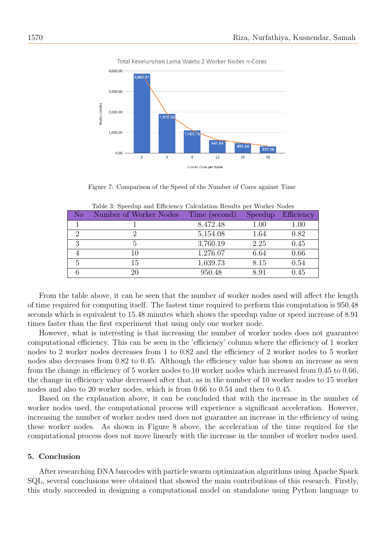

Total Keseluruhan Lama Waktu 2 Worker Nodes n-Cores

Figure 7: Comparison of the Speed of the Number of Cores against Time

| $\rm No$ | Number of Worker Nodes | Time (second) | <b>Speedup</b> | Efficiency |
|----------|------------------------|---------------|----------------|------------|
|          |                        | 8.472.48      | 1.00           | $1.00\,$   |
| റ        |                        | 5,154.08      | 1.64           | 0.82       |
|          |                        | 3,760.19      | 2.25           | 0.45       |
|          | 10                     | 1,276.07      | 6.64           | 0.66       |
|          | 15                     | 1,039.73      | 8.15           | 0.54       |
|          | 20                     | 950.48        | 8.91           | 0.45       |

Table 3: Speedup and Efficiency Calculation Results per Worker Nodes

From the table above, it can be seen that the number of worker nodes used will affect the length of time required for computing itself. The fastest time required to perform this computation is 950.48 seconds which is equivalent to 15.48 minutes which shows the speedup value or speed increase of 8.91 times faster than the first experiment that using only one worker node.

However, what is interesting is that increasing the number of worker nodes does not guarantee computational efficiency. This can be seen in the 'efficiency' column where the efficiency of 1 worker nodes to 2 worker nodes decreases from 1 to 0.82 and the efficiency of 2 worker nodes to 5 worker nodes also decreases from 0.82 to 0.45. Although the efficiency value has shown an increase as seen from the change in efficiency of 5 worker nodes to 10 worker nodes which increased from 0.45 to 0.66, the change in efficiency value decreased after that, as in the number of 10 worker nodes to 15 worker nodes and also to 20 worker nodes, which is from 0.66 to 0.54 and then to 0.45.

Based on the explanation above, it can be concluded that with the increase in the number of worker nodes used, the computational process will experience a significant acceleration. However, increasing the number of worker nodes used does not guarantee an increase in the efficiency of using these worker nodes. As shown in Figure 8 above, the acceleration of the time required for the computational process does not move linearly with the increase in the number of worker nodes used.

### 5. Conclusion

After researching DNA barcodes with particle swarm optimization algorithms using Apache Spark SQL, several conclusions were obtained that showed the main contributions of this research. Firstly, this study succeeded in designing a computational model on standalone using Python language to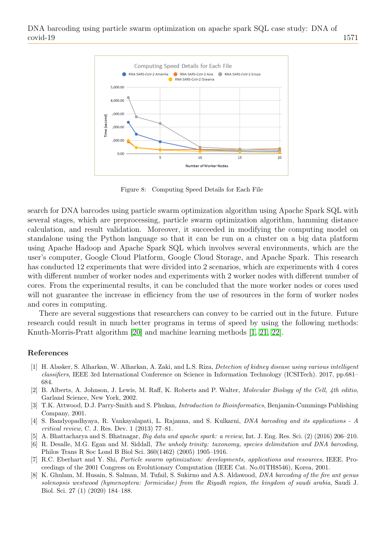

Figure 8: Computing Speed Details for Each File

search for DNA barcodes using particle swarm optimization algorithm using Apache Spark SQL with several stages, which are preprocessing, particle swarm optimization algorithm, hamming distance calculation, and result validation. Moreover, it succeeded in modifying the computing model on standalone using the Python language so that it can be run on a cluster on a big data platform using Apache Hadoop and Apache Spark SQL which involves several environments, which are the user's computer, Google Cloud Platform, Google Cloud Storage, and Apache Spark. This research has conducted 12 experiments that were divided into 2 scenarios, which are experiments with 4 cores with different number of worker nodes and experiments with 2 worker nodes with different number of cores. From the experimental results, it can be concluded that the more worker nodes or cores used will not guarantee the increase in efficiency from the use of resources in the form of worker nodes and cores in computing.

There are several suggestions that researchers can convey to be carried out in the future. Future research could result in much better programs in terms of speed by using the following methods: Knuth-Morris-Pratt algorithm [\[20\]](#page-11-16) and machine learning methods [\[1,](#page-10-7) [21,](#page-11-17) [22\]](#page-11-18).

#### References

- <span id="page-10-7"></span>[1] H. Alasker, S. Alharkan, W. Alharkan, A. Zaki, and L.S. Riza, Detection of kidney disease using various intelligent classifiers, IEEE 3rd International Conference on Science in Information Technology (ICSITech). 2017, pp.681– 684.
- <span id="page-10-0"></span>[2] B. Alberts, A. Johnson, J. Lewis, M. Raff, K. Roberts and P. Walter, Molecular Biology of the Cell, 4th editio, Garland Science, New York, 2002.
- <span id="page-10-3"></span>[3] T.K. Attwood, D.J. Parry-Smith and S. Phukan, *Introduction to Bioinformatics*, Benjamin-Cummings Publishing Company, 2001.
- <span id="page-10-6"></span>[4] S. Bandyopadhyaya, R. Vankayalapati, L. Rajanna, and S. Kulkarni, DNA barcoding and its applications - A critical review, C. J. Res. Dev. 1 (2013) 77–81.
- <span id="page-10-5"></span>[5] A. Bhattacharya and S. Bhatnagar, Big data and apache spark: a review, Int. J. Eng. Res. Sci. (2) (2016) 206–210.
- <span id="page-10-2"></span>[6] R. Desalle, M.G. Egan and M. Siddall, The unholy trinity: taxonomy, species delimitation and DNA barcoding, Philos Trans R Soc Lond B Biol Sci. 360(1462) (2005) 1905–1916.
- <span id="page-10-4"></span>[7] R.C. Eberhart and Y. Shi, Particle swarm optimization: developments, applications and resources, IEEE. Proceedings of the 2001 Congress on Evolutionary Computation (IEEE Cat. No.01TH8546), Korea, 2001.
- <span id="page-10-1"></span>[8] K. Ghulam, M. Husain, S. Salman, M. Tufail, S. Sukirno and A.S. Aldawood, *DNA barcoding of the fire ant genus* solenopsis westwood (hymenoptera: formicidae) from the Riyadh region, the kingdom of saudi arabia, Saudi J. Biol. Sci. 27 (1) (2020) 184–188.